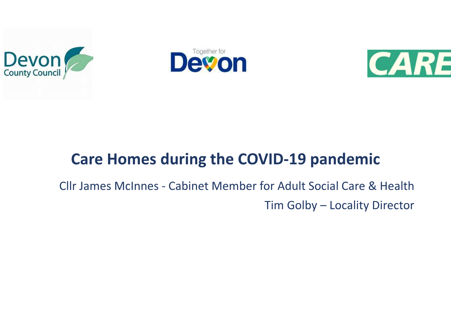





# Care Homes during the COVID-19 pandemic

Cllr James McInnes - Cabinet Member for Adult Social Care & Health Tim Golby – Locality Director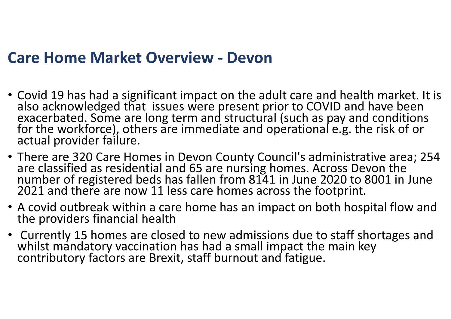### Care Home Market Overview - Devon

- Covid 19 has had a significant impact on the adult care and health market. It is also acknowledged that issues were present prior to COVID and have been exacerbated. Some are long term and structural (such as pay and conditions for the workforce), others are immediate and operational e.g. the risk of o
- There are 320 Care Homes in Devon County Council's administrative area; 254 are classified as residential and 65 are nursing homes. Across Devon the number of registered beds has fallen from 8141 in June 2020 to 8001 in
- A covid outbreak within a care home has an impact on both hospital flow and the providers financial health
- Currently 15 homes are closed to new admissions due to staff shortages and whilst mandatory vaccination has had a small impact the main key contributory factors are Brexit, staff burnout and fatigue.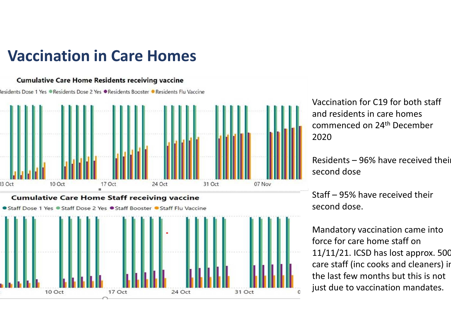## Vaccination in Care Homes

#### **Cumulative Care Home Residents receiving vaccine**

Residents Dose 1 Yes · Residents Dose 2 Yes · Residents Booster · Residents Flu Vaccine



#### **Cumulative Care Home Staff receiving vaccine**

● Staff Dose 1 Yes ● Staff Dose 2 Yes ● Staff Booster ● Staff Flu Vaccine



Vaccination for C19 for both staff and residents in care homes commenced on 24<sup>th</sup> December 2020

Residents – 96% have received their second dose

Staff – 95% have received their second dose.

Mandatory vaccination came into force for care home staff on 11/11/21. ICSD has lost approx. 500 care staff (inc cooks and cleaners) in the last few months but this is not just due to vaccination mandates.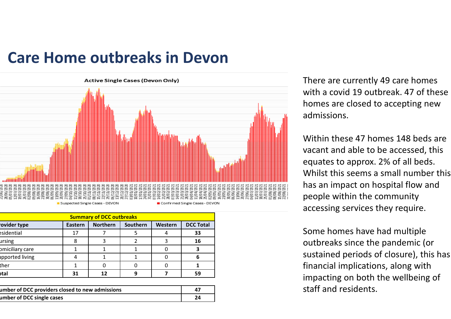### Care Home outbreaks in Devon



| <b>Summary of DCC outbreaks</b> |                |                 |          |         |                  |  |  |
|---------------------------------|----------------|-----------------|----------|---------|------------------|--|--|
| ovider type                     | <b>Eastern</b> | <b>Northern</b> | Southern | Western | <b>DCC Total</b> |  |  |
| esidential                      | 17             |                 |          |         | 33               |  |  |
| ursing                          |                |                 |          |         | 16               |  |  |
| omiciliary care                 |                |                 |          |         | э                |  |  |
| upported living                 |                |                 |          |         | 6                |  |  |
| ther                            |                |                 |          |         |                  |  |  |
| otal                            | 31             | 12              |          |         | 59               |  |  |

| umber of DCC providers closed to new admissions |  |
|-------------------------------------------------|--|
| umber of DCC single cases                       |  |
|                                                 |  |

There are currently 49 care homes with a covid 19 outbreak. 47 of these homes are closed to accepting new admissions.

Within these 47 homes 148 beds are vacant and able to be accessed, this equates to approx. 2% of all beds. Whilst this seems a small number this has an impact on hospital flow and people within the community accessing services they require.

Some homes have had multiple outbreaks since the pandemic (or sustained periods of closure), this has financial implications, along with impacting on both the wellbeing of staff and residents.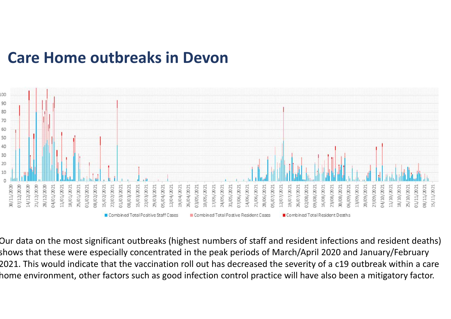#### Care Home outbreaks in Devon



Our data on the most significant outbreaks (highest numbers of staff and resident infections and resident deaths) shows that these were especially concentrated in the peak periods of March/April 2020 and January/February 2021. This would indicate that the vaccination roll out has decreased the severity of a c19 outbreak within a care home environment, other factors such as good infection control practice will have also been a mitigatory factor.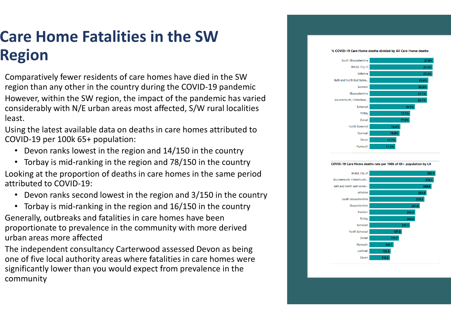# Care Home Fatalities in the SW Region

- Comparatively fewer residents of care homes have died in the SW region than any other in the country during the COVID-19 pandemicHowever, within the SW region, the impact of the pandemic has varied considerably with N/E urban areas most affected, S/W rural localities least.
- Using the latest available data on deaths in care homes attributed to COVID-19 per 100k 65+ population:
	- Devon ranks lowest in the region and 14/150 in the country
	- Torbay is mid-ranking in the region and 78/150 in the countr y
- Looking at the proportion of deaths in care homes in the same period attributed to COVID-19:
	- Devon ranks second lowest in the region and 3/150 in the country
- Torbay is mid-ranking in the region and 16/150 in the countr yGenerally, outbreaks and fatalities in care homes have been proportionate to prevalence in the community with more derived urban areas more affected

 The independent consultancy Carterwood assessed Devon as being one of five local authority areas where fatalities in care homes were significantly lower than you would expect from prevalence in the community





% COVID-19 Care Home deaths divided by All Care Home deaths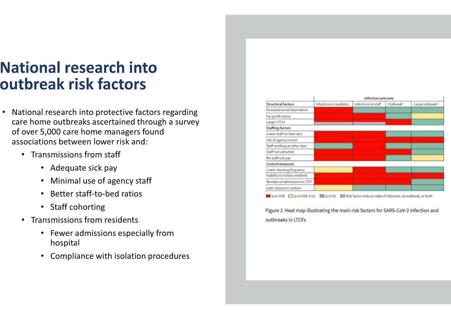## National research into outbreak risk factors

- National research into protective factors regarding care home outbreaks ascertained through a survey of over 5,000 care home managers found associations between lower risk and:
	- Transmissions from staff
		- Adequate sick pay
		- Minimal use of agency staff
		- Better staff-to-bed ratios
		- Staff cohorting
	- • Transmissions from residents
		- Fewer admissions especially from hospital
		- Compliance with isolation procedures

| <b>Structural factors</b>      | Infection outcome       |                     |           |                 |  |  |  |
|--------------------------------|-------------------------|---------------------|-----------|-----------------|--|--|--|
|                                | Infections in residents | Infections in staff | Outbreak* | Large outbreak! |  |  |  |
| Increased social deprivation   |                         |                     |           |                 |  |  |  |
| For-profit status              |                         |                     |           |                 |  |  |  |
| Larger LTCFs                   |                         |                     |           |                 |  |  |  |
| <b>Staffing factors</b>        |                         |                     |           |                 |  |  |  |
| Lower staff-to-bed ratio       |                         |                     |           |                 |  |  |  |
| Use of agency nurses           |                         |                     |           |                 |  |  |  |
| Staff working at other sites   |                         |                     |           |                 |  |  |  |
| Staff not cohorted             |                         |                     |           |                 |  |  |  |
| No staff sick pay              |                         |                     |           |                 |  |  |  |
| Control measures               |                         |                     |           |                 |  |  |  |
| Lower cleaning frequency       |                         |                     |           |                 |  |  |  |
| Inability to isolate residents |                         |                     |           |                 |  |  |  |
| Number of admissions to LTCF   |                         |                     |           |                 |  |  |  |
| Later closure to visitors      |                         |                     |           |                 |  |  |  |

p<0.008 2 p=0.008-0.05 2 p>0.05 2 Risk factor reduces odds of infection, an outbreak, or both

Figure 2 Heat map illustrating the main risk factors for SARS-CoV-2 infection and outbreaks in LTCFs